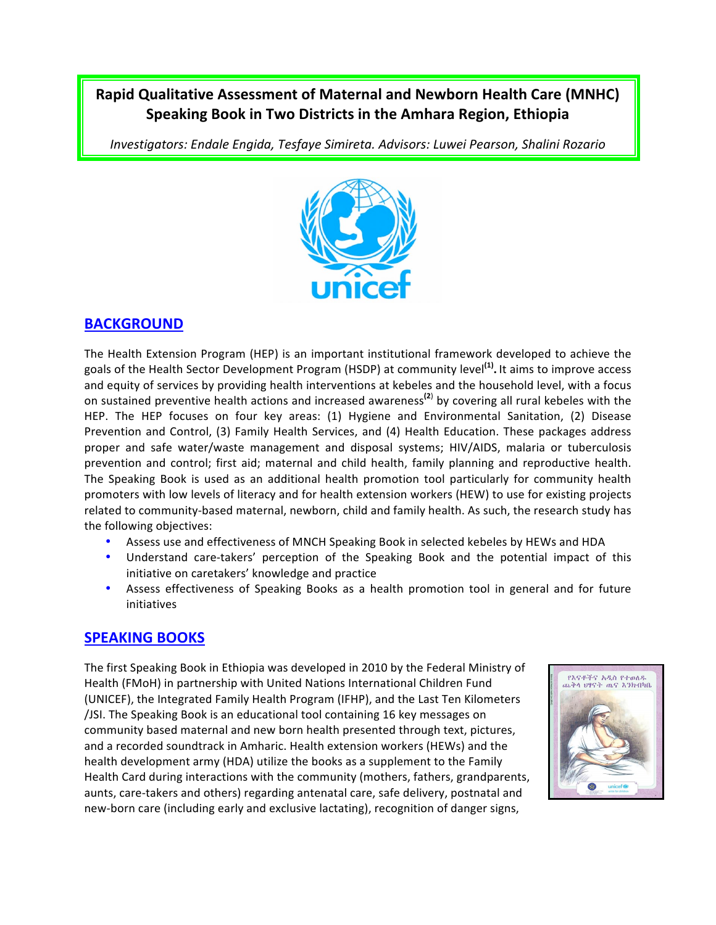# **Rapid Qualitative Assessment of Maternal and Newborn Health Care (MNHC) Speaking Book in Two Districts in the Amhara Region, Ethiopia**

*Investigators: Endale Engida, Tesfaye Simireta. Advisors: Luwei Pearson, Shalini Rozario*



### **BACKGROUND**

The Health Extension Program (HEP) is an important institutional framework developed to achieve the goals of the Health Sector Development Program (HSDP) at community level<sup>(1)</sup>. It aims to improve access and equity of services by providing health interventions at kebeles and the household level, with a focus on sustained preventive health actions and increased awareness<sup>(2)</sup> by covering all rural kebeles with the HEP. The HEP focuses on four key areas: (1) Hygiene and Environmental Sanitation, (2) Disease Prevention and Control, (3) Family Health Services, and (4) Health Education. These packages address proper and safe water/waste management and disposal systems; HIV/AIDS, malaria or tuberculosis prevention and control; first aid; maternal and child health, family planning and reproductive health. The Speaking Book is used as an additional health promotion tool particularly for community health promoters with low levels of literacy and for health extension workers (HEW) to use for existing projects related to community-based maternal, newborn, child and family health. As such, the research study has the following objectives:

- Assess use and effectiveness of MNCH Speaking Book in selected kebeles by HEWs and HDA
- Understand care-takers' perception of the Speaking Book and the potential impact of this initiative on caretakers' knowledge and practice
- Assess effectiveness of Speaking Books as a health promotion tool in general and for future initiatives

## **SPEAKING BOOKS**

The first Speaking Book in Ethiopia was developed in 2010 by the Federal Ministry of Health (FMoH) in partnership with United Nations International Children Fund (UNICEF), the Integrated Family Health Program (IFHP), and the Last Ten Kilometers /JSI. The Speaking Book is an educational tool containing 16 key messages on community based maternal and new born health presented through text, pictures, and a recorded soundtrack in Amharic. Health extension workers (HEWs) and the health development army (HDA) utilize the books as a supplement to the Family Health Card during interactions with the community (mothers, fathers, grandparents, aunts, care-takers and others) regarding antenatal care, safe delivery, postnatal and new-born care (including early and exclusive lactating), recognition of danger signs,

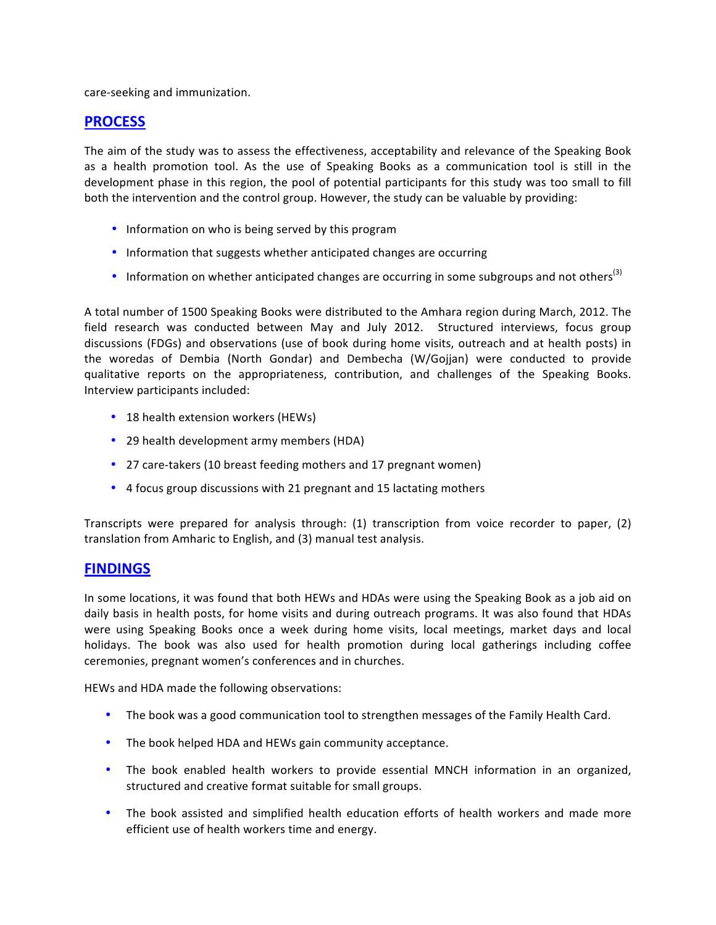care-seeking and immunization.

#### **PROCESS**

The aim of the study was to assess the effectiveness, acceptability and relevance of the Speaking Book as a health promotion tool. As the use of Speaking Books as a communication tool is still in the development phase in this region, the pool of potential participants for this study was too small to fill both the intervention and the control group. However, the study can be valuable by providing:

- Information on who is being served by this program
- Information that suggests whether anticipated changes are occurring
- Information on whether anticipated changes are occurring in some subgroups and not others<sup>(3)</sup>

A total number of 1500 Speaking Books were distributed to the Amhara region during March, 2012. The field research was conducted between May and July 2012. Structured interviews, focus group discussions (FDGs) and observations (use of book during home visits, outreach and at health posts) in the woredas of Dembia (North Gondar) and Dembecha (W/Gojjan) were conducted to provide qualitative reports on the appropriateness, contribution, and challenges of the Speaking Books. Interview participants included:

- 18 health extension workers (HEWs)
- 29 health development army members (HDA)
- 27 care-takers (10 breast feeding mothers and 17 pregnant women)
- 4 focus group discussions with 21 pregnant and 15 lactating mothers

Transcripts were prepared for analysis through:  $(1)$  transcription from voice recorder to paper,  $(2)$ translation from Amharic to English, and (3) manual test analysis.

#### **FINDINGS**

In some locations, it was found that both HEWs and HDAs were using the Speaking Book as a job aid on daily basis in health posts, for home visits and during outreach programs. It was also found that HDAs were using Speaking Books once a week during home visits, local meetings, market days and local holidays. The book was also used for health promotion during local gatherings including coffee ceremonies, pregnant women's conferences and in churches.

HEWs and HDA made the following observations:

- The book was a good communication tool to strengthen messages of the Family Health Card.
- The book helped HDA and HEWs gain community acceptance.
- The book enabled health workers to provide essential MNCH information in an organized, structured and creative format suitable for small groups.
- The book assisted and simplified health education efforts of health workers and made more efficient use of health workers time and energy.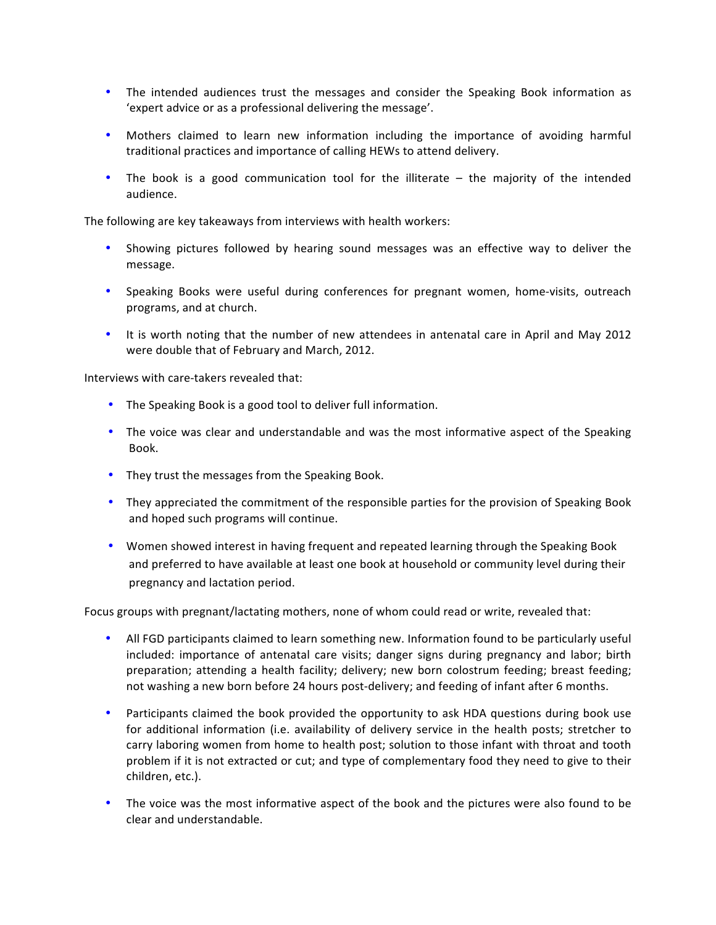- The intended audiences trust the messages and consider the Speaking Book information as 'expert advice or as a professional delivering the message'.
- Mothers claimed to learn new information including the importance of avoiding harmful traditional practices and importance of calling HEWs to attend delivery.
- The book is a good communication tool for the illiterate the majority of the intended audience.

The following are key takeaways from interviews with health workers:

- Showing pictures followed by hearing sound messages was an effective way to deliver the message.
- Speaking Books were useful during conferences for pregnant women, home-visits, outreach programs, and at church.
- It is worth noting that the number of new attendees in antenatal care in April and May 2012 were double that of February and March, 2012.

Interviews with care-takers revealed that:

- The Speaking Book is a good tool to deliver full information.
- The voice was clear and understandable and was the most informative aspect of the Speaking Book.
- They trust the messages from the Speaking Book.
- They appreciated the commitment of the responsible parties for the provision of Speaking Book and hoped such programs will continue.
- Women showed interest in having frequent and repeated learning through the Speaking Book and preferred to have available at least one book at household or community level during their pregnancy and lactation period.

Focus groups with pregnant/lactating mothers, none of whom could read or write, revealed that:

- All FGD participants claimed to learn something new. Information found to be particularly useful included: importance of antenatal care visits; danger signs during pregnancy and labor; birth preparation; attending a health facility; delivery; new born colostrum feeding; breast feeding; not washing a new born before 24 hours post-delivery; and feeding of infant after 6 months.
- Participants claimed the book provided the opportunity to ask HDA questions during book use for additional information (i.e. availability of delivery service in the health posts; stretcher to carry laboring women from home to health post; solution to those infant with throat and tooth problem if it is not extracted or cut; and type of complementary food they need to give to their children, etc.).
- The voice was the most informative aspect of the book and the pictures were also found to be clear and understandable.